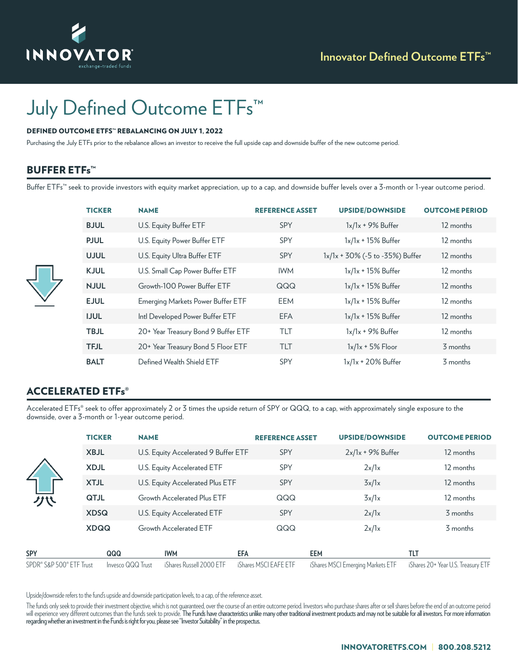

# July Defined Outcome ETFs<sup>™</sup>

#### DEFINED OUTCOME ETFS™ REBALANCING ON JULY 1, 2022

Purchasing the July ETFs prior to the rebalance allows an investor to receive the full upside cap and downside buffer of the new outcome period.

## **BUFFER ETFs™**

Buffer ETFs™ seek to provide investors with equity market appreciation, up to a cap, and downside buffer levels over a 3-month or 1-year outcome period.

| <b>TICKER</b> | <b>NAME</b>                         | <b>REFERENCE ASSET</b> | <b>UPSIDE/DOWNSIDE</b>          | <b>OUTCOME PERIOD</b> |
|---------------|-------------------------------------|------------------------|---------------------------------|-----------------------|
| <b>BJUL</b>   | U.S. Equity Buffer ETF              | <b>SPY</b>             | $1x/1x + 9%$ Buffer             | 12 months             |
| <b>PJUL</b>   | U.S. Equity Power Buffer ETF        | <b>SPY</b>             | $1x/1x + 15%$ Buffer            | 12 months             |
| <b>UJUL</b>   | U.S. Equity Ultra Buffer ETF        | <b>SPY</b>             | 1x/1x + 30% (-5 to -35%) Buffer | 12 months             |
| <b>KJUL</b>   | U.S. Small Cap Power Buffer ETF     | <b>IWM</b>             | $1x/1x + 15%$ Buffer            | 12 months             |
| <b>NJUL</b>   | Growth-100 Power Buffer FTF         | QQQ                    | $1x/1x + 15%$ Buffer            | 12 months             |
| <b>EJUL</b>   | Emerging Markets Power Buffer ETF   | EEM                    | $1x/1x + 15%$ Buffer            | 12 months             |
| <b>IJUL</b>   | Intl Developed Power Buffer ETF     | <b>EFA</b>             | $1x/1x + 15%$ Buffer            | 12 months             |
| <b>TBJL</b>   | 20+ Year Treasury Bond 9 Buffer ETF | TIT                    | $1x/1x + 9%$ Buffer             | 12 months             |
| <b>TFJL</b>   | 20+ Year Treasury Bond 5 Floor ETF  | <b>TLT</b>             | $1x/1x + 5%$ Floor              | 3 months              |
| <b>BALT</b>   | Defined Wealth Shield ETF           | <b>SPY</b>             | $1x/1x + 20\%$ Buffer           | 3 months              |

## ACCELERATED ETFs®

Accelerated ETFs® seek to offer approximately 2 or 3 times the upside return of SPY or QQQ, to a cap, with approximately single exposure to the downside, over a 3-month or 1-year outcome period.

| グベ                       | <b>TICKER</b> | <b>NAME</b>       |                                      | <b>REFERENCE ASSET</b> | <b>UPSIDE/DOWNSIDE</b>            | <b>OUTCOME PERIOD</b>              |
|--------------------------|---------------|-------------------|--------------------------------------|------------------------|-----------------------------------|------------------------------------|
|                          | <b>XBJL</b>   |                   | U.S. Equity Accelerated 9 Buffer ETF | <b>SPY</b>             | $2x/1x + 9%$ Buffer               | 12 months                          |
|                          | <b>XDJL</b>   |                   | U.S. Equity Accelerated ETF          | <b>SPY</b>             | 2x/1x                             | 12 months                          |
|                          | <b>XTJL</b>   |                   | U.S. Equity Accelerated Plus ETF     | <b>SPY</b>             | 3x/1x                             | 12 months                          |
|                          | <b>QTJL</b>   |                   | Growth Accelerated Plus ETF          | QQQ                    | 3x/1x                             | 12 months                          |
|                          | <b>XDSQ</b>   |                   | U.S. Equity Accelerated ETF          | SPY                    | 2x/1x                             | 3 months                           |
|                          | <b>XDQQ</b>   |                   | Growth Accelerated ETF               | QQQ                    | 2x/1x                             | 3 months                           |
| <b>SPY</b>               |               | QQQ               | <b>IWM</b>                           | EFA                    | <b>EEM</b>                        | tlt                                |
| SPDR® S&P 500® ETF Trust |               | Invesco QQQ Trust | iShares Russell 2000 ETF             | iShares MSCI EAFE ETF  | iShares MSCI Emerging Markets ETF | iShares 20+ Year U.S. Treasury ETF |

Upside/downside refers to the fund's upside and downside participation levels, to a cap, of the reference asset.

The funds only seek to provide their investment objective, which is not guaranteed, over the course of an entire outcome period. Investors who purchase shares after or sell shares before the end of an outcome period will experience very different outcomes than the funds seek to provide. The Funds have characteristics unlike many other traditional investment products and may not be suitable for all investors. For more information regarding whether an investment in the Funds is right for you, please see "Investor Suitability" in the prospectus.